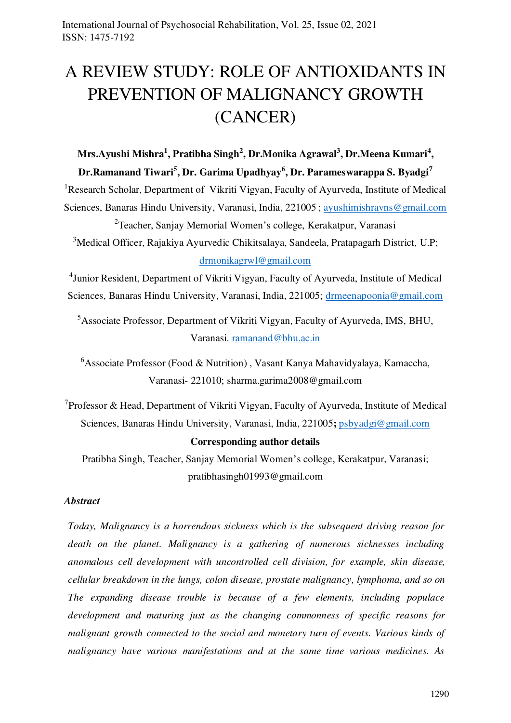# A REVIEW STUDY: ROLE OF ANTIOXIDANTS IN PREVENTION OF MALIGNANCY GROWTH (CANCER)

# **Mrs.Ayushi Mishra<sup>1</sup> , Pratibha Singh<sup>2</sup> , Dr.Monika Agrawal<sup>3</sup> , Dr.Meena Kumari<sup>4</sup> , Dr.Ramanand Tiwari<sup>5</sup> , Dr. Garima Upadhyay<sup>6</sup> , Dr. Parameswarappa S. Byadgi<sup>7</sup>**

<sup>1</sup>Research Scholar, Department of Vikriti Vigyan, Faculty of Ayurveda, Institute of Medical Sciences, Banaras Hindu University, Varanasi, India, 221005 ; [ayushimishravns@gmail.com](mailto:ayushimishravns@gmail.com) <sup>2</sup>Teacher, Sanjay Memorial Women's college, Kerakatpur, Varanasi

<sup>3</sup>Medical Officer, Rajakiya Ayurvedic Chikitsalaya, Sandeela, Pratapagarh District, U.P; [drmonikagrwl@gmail.com](mailto:drmonikagrwl@gmail.com)

<sup>4</sup>Junior Resident, Department of Vikriti Vigyan, Faculty of Ayurveda, Institute of Medical Sciences, Banaras Hindu University, Varanasi, India, 221005; [drmeenapoonia@gmail.com](mailto:drmeenapoonia@gmail.com)

<sup>5</sup>Associate Professor, Department of Vikriti Vigyan, Faculty of Ayurveda, IMS, BHU, Varanasi. [ramanand@bhu.ac.in](mailto:ramanand@bhu.ac.in)

<sup>6</sup>Associate Professor (Food & Nutrition), Vasant Kanya Mahavidyalaya, Kamaccha, Varanasi- 221010; sharma.garima2008@gmail.com

<sup>7</sup> Professor & Head, Department of Vikriti Vigyan, Faculty of Ayurveda, Institute of Medical Sciences, Banaras Hindu University, Varanasi, India, 221005**;** [psbyadgi@gmail.com](mailto:psbyadgi@gmail.com)

# **Corresponding author details**

Pratibha Singh, Teacher, Sanjay Memorial Women's college, Kerakatpur, Varanasi; pratibhasingh01993@gmail.com

# *Abstract*

*Today, Malignancy is a horrendous sickness which is the subsequent driving reason for death on the planet. Malignancy is a gathering of numerous sicknesses including anomalous cell development with uncontrolled cell division, for example, skin disease, cellular breakdown in the lungs, colon disease, prostate malignancy, lymphoma, and so on The expanding disease trouble is because of a few elements, including populace development and maturing just as the changing commonness of specific reasons for malignant growth connected to the social and monetary turn of events. Various kinds of malignancy have various manifestations and at the same time various medicines. As*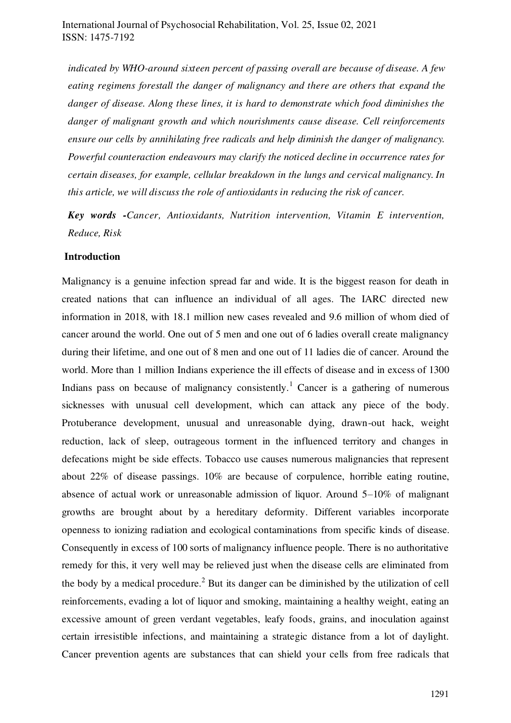*indicated by WHO-around sixteen percent of passing overall are because of disease. A few eating regimens forestall the danger of malignancy and there are others that expand the danger of disease. Along these lines, it is hard to demonstrate which food diminishes the danger of malignant growth and which nourishments cause disease. Cell reinforcements ensure our cells by annihilating free radicals and help diminish the danger of malignancy. Powerful counteraction endeavours may clarify the noticed decline in occurrence rates for certain diseases, for example, cellular breakdown in the lungs and cervical malignancy. In this article, we will discuss the role of antioxidants in reducing the risk of cancer.* 

*Key words -Cancer, Antioxidants, Nutrition intervention, Vitamin E intervention, Reduce, Risk* 

#### **Introduction**

Malignancy is a genuine infection spread far and wide. It is the biggest reason for death in created nations that can influence an individual of all ages. The IARC directed new information in 2018, with 18.1 million new cases revealed and 9.6 million of whom died of cancer around the world. One out of 5 men and one out of 6 ladies overall create malignancy during their lifetime, and one out of 8 men and one out of 11 ladies die of cancer. Around the world. More than 1 million Indians experience the ill effects of disease and in excess of 1300 Indians pass on because of malignancy consistently.<sup>1</sup> Cancer is a gathering of numerous sicknesses with unusual cell development, which can attack any piece of the body. Protuberance development, unusual and unreasonable dying, drawn-out hack, weight reduction, lack of sleep, outrageous torment in the influenced territory and changes in defecations might be side effects. Tobacco use causes numerous malignancies that represent about 22% of disease passings. 10% are because of corpulence, horrible eating routine, absence of actual work or unreasonable admission of liquor. Around 5–10% of malignant growths are brought about by a hereditary deformity. Different variables incorporate openness to ionizing radiation and ecological contaminations from specific kinds of disease. Consequently in excess of 100 sorts of malignancy influence people. There is no authoritative remedy for this, it very well may be relieved just when the disease cells are eliminated from the body by a medical procedure.<sup>2</sup> But its danger can be diminished by the utilization of cell reinforcements, evading a lot of liquor and smoking, maintaining a healthy weight, eating an excessive amount of green verdant vegetables, leafy foods, grains, and inoculation against certain irresistible infections, and maintaining a strategic distance from a lot of daylight. Cancer prevention agents are substances that can shield your cells from free radicals that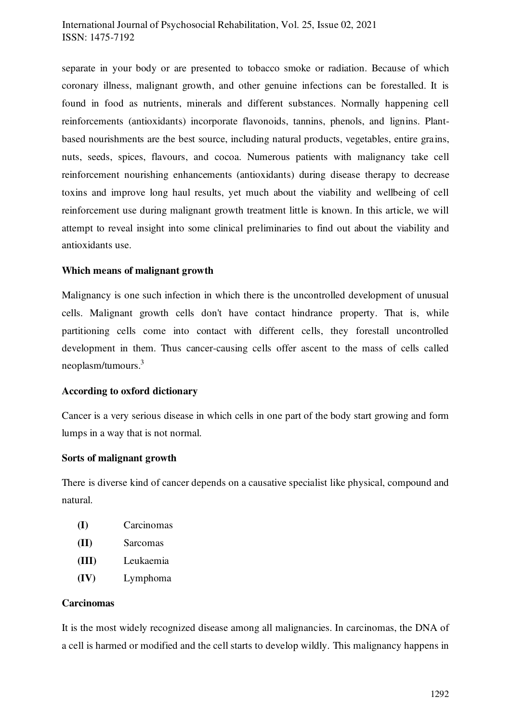# International Journal of Psychosocial Rehabilitation, Vol. 25, Issue 02, 2021 ISSN: 1475-7192

separate in your body or are presented to tobacco smoke or radiation. Because of which coronary illness, malignant growth, and other genuine infections can be forestalled. It is found in food as nutrients, minerals and different substances. Normally happening cell reinforcements (antioxidants) incorporate flavonoids, tannins, phenols, and lignins. Plantbased nourishments are the best source, including natural products, vegetables, entire grains, nuts, seeds, spices, flavours, and cocoa. Numerous patients with malignancy take cell reinforcement nourishing enhancements (antioxidants) during disease therapy to decrease toxins and improve long haul results, yet much about the viability and wellbeing of cell reinforcement use during malignant growth treatment little is known. In this article, we will attempt to reveal insight into some clinical preliminaries to find out about the viability and antioxidants use.

#### **Which means of malignant growth**

Malignancy is one such infection in which there is the uncontrolled development of unusual cells. Malignant growth cells don't have contact hindrance property. That is, while partitioning cells come into contact with different cells, they forestall uncontrolled development in them. Thus cancer-causing cells offer ascent to the mass of cells called neoplasm/tumours.<sup>3</sup> 

#### **According to oxford dictionary**

Cancer is a very serious disease in which cells in one part of the body start growing and form lumps in a way that is not normal.

#### **Sorts of malignant growth**

There is diverse kind of cancer depends on a causative specialist like physical, compound and natural.

| (I) | Carcinomas |
|-----|------------|
|     |            |

- **(II)** Sarcomas
- **(III)** Leukaemia
- **(IV)** Lymphoma

#### **Carcinomas**

It is the most widely recognized disease among all malignancies. In carcinomas, the DNA of a cell is harmed or modified and the cell starts to develop wildly. This malignancy happens in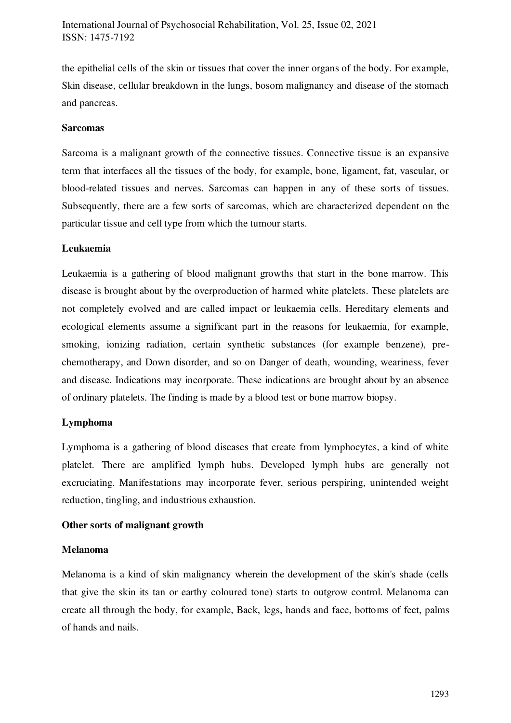the epithelial cells of the skin or tissues that cover the inner organs of the body. For example, Skin disease, cellular breakdown in the lungs, bosom malignancy and disease of the stomach and pancreas.

#### **Sarcomas**

Sarcoma is a malignant growth of the connective tissues. Connective tissue is an expansive term that interfaces all the tissues of the body, for example, bone, ligament, fat, vascular, or blood-related tissues and nerves. Sarcomas can happen in any of these sorts of tissues. Subsequently, there are a few sorts of sarcomas, which are characterized dependent on the particular tissue and cell type from which the tumour starts.

#### **Leukaemia**

Leukaemia is a gathering of blood malignant growths that start in the bone marrow. This disease is brought about by the overproduction of harmed white platelets. These platelets are not completely evolved and are called impact or leukaemia cells. Hereditary elements and ecological elements assume a significant part in the reasons for leukaemia, for example, smoking, ionizing radiation, certain synthetic substances (for example benzene), prechemotherapy, and Down disorder, and so on Danger of death, wounding, weariness, fever and disease. Indications may incorporate. These indications are brought about by an absence of ordinary platelets. The finding is made by a blood test or bone marrow biopsy.

# **Lymphoma**

Lymphoma is a gathering of blood diseases that create from lymphocytes, a kind of white platelet. There are amplified lymph hubs. Developed lymph hubs are generally not excruciating. Manifestations may incorporate fever, serious perspiring, unintended weight reduction, tingling, and industrious exhaustion.

# **Other sorts of malignant growth**

#### **Melanoma**

Melanoma is a kind of skin malignancy wherein the development of the skin's shade (cells that give the skin its tan or earthy coloured tone) starts to outgrow control. Melanoma can create all through the body, for example, Back, legs, hands and face, bottoms of feet, palms of hands and nails.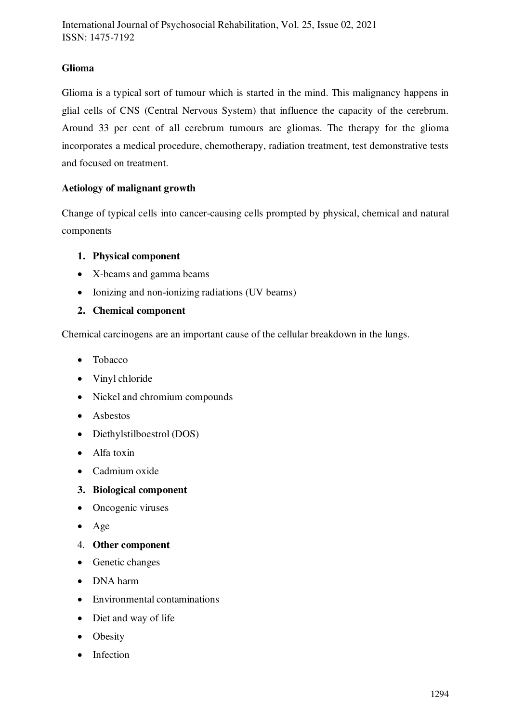# **Glioma**

Glioma is a typical sort of tumour which is started in the mind. This malignancy happens in glial cells of CNS (Central Nervous System) that influence the capacity of the cerebrum. Around 33 per cent of all cerebrum tumours are gliomas. The therapy for the glioma incorporates a medical procedure, chemotherapy, radiation treatment, test demonstrative tests and focused on treatment.

# **Aetiology of malignant growth**

Change of typical cells into cancer-causing cells prompted by physical, chemical and natural components

# **1. Physical component**

- X-beams and gamma beams
- Ionizing and non-ionizing radiations (UV beams)

# **2. Chemical component**

Chemical carcinogens are an important cause of the cellular breakdown in the lungs.

- Tobacco
- Vinyl chloride
- Nickel and chromium compounds
- Asbestos
- Diethylstilboestrol (DOS)
- Alfa toxin
- Cadmium oxide

# **3. Biological component**

- Oncogenic viruses
- Age
- 4. **Other component**
- Genetic changes
- DNA harm
- Environmental contaminations
- Diet and way of life
- Obesity
- Infection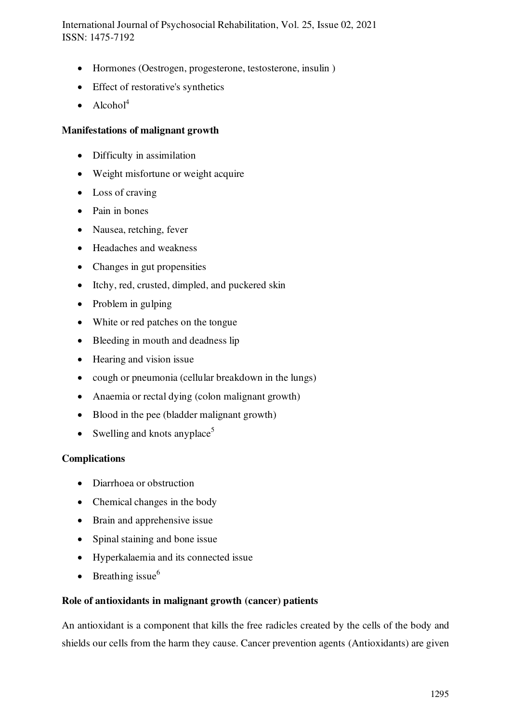International Journal of Psychosocial Rehabilitation, Vol. 25, Issue 02, 2021 ISSN: 1475-7192

- Hormones (Oestrogen, progesterone, testosterone, insulin )
- Effect of restorative's synthetics
- $\bullet$  Alcohol<sup>4</sup>

#### **Manifestations of malignant growth**

- Difficulty in assimilation
- Weight misfortune or weight acquire
- Loss of craving
- Pain in bones
- Nausea, retching, fever
- Headaches and weakness
- Changes in gut propensities
- Itchy, red, crusted, dimpled, and puckered skin
- Problem in gulping
- White or red patches on the tongue
- Bleeding in mouth and deadness lip
- Hearing and vision issue
- cough or pneumonia (cellular breakdown in the lungs)
- Anaemia or rectal dying (colon malignant growth)
- Blood in the pee (bladder malignant growth)
- Swelling and knots any place<sup>5</sup>

#### **Complications**

- Diarrhoea or obstruction
- Chemical changes in the body
- Brain and apprehensive issue
- Spinal staining and bone issue
- Hyperkalaemia and its connected issue
- $\bullet$  Breathing issue<sup>6</sup>

#### **Role of antioxidants in malignant growth (cancer) patients**

An antioxidant is a component that kills the free radicles created by the cells of the body and shields our cells from the harm they cause. Cancer prevention agents (Antioxidants) are given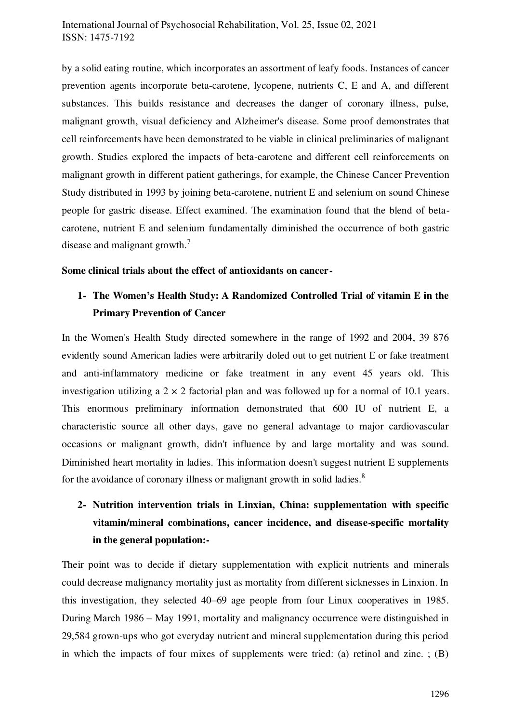by a solid eating routine, which incorporates an assortment of leafy foods. Instances of cancer prevention agents incorporate beta-carotene, lycopene, nutrients C, E and A, and different substances. This builds resistance and decreases the danger of coronary illness, pulse, malignant growth, visual deficiency and Alzheimer's disease. Some proof demonstrates that cell reinforcements have been demonstrated to be viable in clinical preliminaries of malignant growth. Studies explored the impacts of beta-carotene and different cell reinforcements on malignant growth in different patient gatherings, for example, the Chinese Cancer Prevention Study distributed in 1993 by joining beta-carotene, nutrient E and selenium on sound Chinese people for gastric disease. Effect examined. The examination found that the blend of betacarotene, nutrient E and selenium fundamentally diminished the occurrence of both gastric disease and malignant growth.<sup>7</sup>

# **Some clinical trials about the effect of antioxidants on cancer-**

# **1- The Women's Health Study: A Randomized Controlled Trial of vitamin E in the Primary Prevention of Cancer**

In the Women's Health Study directed somewhere in the range of 1992 and 2004, 39 876 evidently sound American ladies were arbitrarily doled out to get nutrient E or fake treatment and anti-inflammatory medicine or fake treatment in any event 45 years old. This investigation utilizing a  $2 \times 2$  factorial plan and was followed up for a normal of 10.1 years. This enormous preliminary information demonstrated that 600 IU of nutrient E, a characteristic source all other days, gave no general advantage to major cardiovascular occasions or malignant growth, didn't influence by and large mortality and was sound. Diminished heart mortality in ladies. This information doesn't suggest nutrient E supplements for the avoidance of coronary illness or malignant growth in solid ladies.<sup>8</sup>

# **2- Nutrition intervention trials in Linxian, China: supplementation with specific vitamin/mineral combinations, cancer incidence, and disease-specific mortality in the general population:-**

Their point was to decide if dietary supplementation with explicit nutrients and minerals could decrease malignancy mortality just as mortality from different sicknesses in Linxion. In this investigation, they selected 40–69 age people from four Linux cooperatives in 1985. During March 1986 – May 1991, mortality and malignancy occurrence were distinguished in 29,584 grown-ups who got everyday nutrient and mineral supplementation during this period in which the impacts of four mixes of supplements were tried: (a) retinol and zinc.  $: (B)$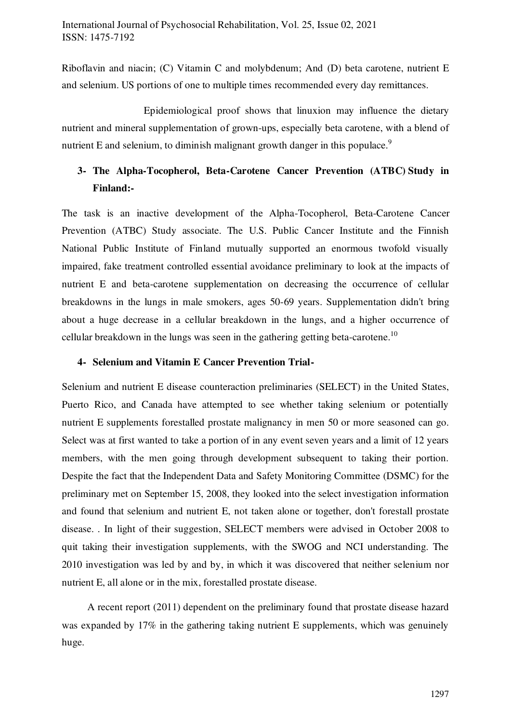Riboflavin and niacin; (C) Vitamin C and molybdenum; And (D) beta carotene, nutrient E and selenium. US portions of one to multiple times recommended every day remittances.

 Epidemiological proof shows that linuxion may influence the dietary nutrient and mineral supplementation of grown-ups, especially beta carotene, with a blend of nutrient E and selenium, to diminish malignant growth danger in this populace.<sup>9</sup>

# **3- The Alpha-Tocopherol, Beta-Carotene Cancer Prevention (ATBC) Study in Finland:-**

The task is an inactive development of the Alpha-Tocopherol, Beta-Carotene Cancer Prevention (ATBC) Study associate. The U.S. Public Cancer Institute and the Finnish National Public Institute of Finland mutually supported an enormous twofold visually impaired, fake treatment controlled essential avoidance preliminary to look at the impacts of nutrient E and beta-carotene supplementation on decreasing the occurrence of cellular breakdowns in the lungs in male smokers, ages 50-69 years. Supplementation didn't bring about a huge decrease in a cellular breakdown in the lungs, and a higher occurrence of cellular breakdown in the lungs was seen in the gathering getting beta-carotene.<sup>10</sup>

#### **4- Selenium and Vitamin E Cancer Prevention Trial-**

Selenium and nutrient E disease counteraction preliminaries (SELECT) in the United States, Puerto Rico, and Canada have attempted to see whether taking selenium or potentially nutrient E supplements forestalled prostate malignancy in men 50 or more seasoned can go. Select was at first wanted to take a portion of in any event seven years and a limit of 12 years members, with the men going through development subsequent to taking their portion. Despite the fact that the Independent Data and Safety Monitoring Committee (DSMC) for the preliminary met on September 15, 2008, they looked into the select investigation information and found that selenium and nutrient E, not taken alone or together, don't forestall prostate disease. . In light of their suggestion, SELECT members were advised in October 2008 to quit taking their investigation supplements, with the SWOG and NCI understanding. The 2010 investigation was led by and by, in which it was discovered that neither selenium nor nutrient E, all alone or in the mix, forestalled prostate disease.

 A recent report (2011) dependent on the preliminary found that prostate disease hazard was expanded by 17% in the gathering taking nutrient E supplements, which was genuinely huge.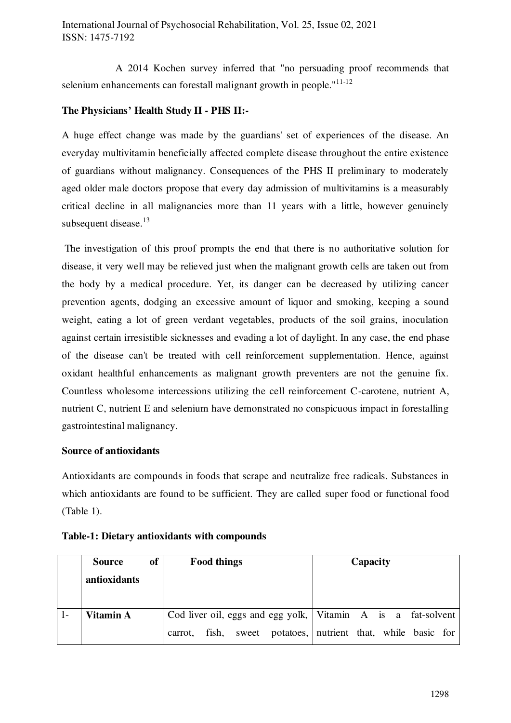A 2014 Kochen survey inferred that "no persuading proof recommends that selenium enhancements can forestall malignant growth in people."<sup>11-12</sup>

# **The Physicians' Health Study II - PHS II:-**

A huge effect change was made by the guardians' set of experiences of the disease. An everyday multivitamin beneficially affected complete disease throughout the entire existence of guardians without malignancy. Consequences of the PHS II preliminary to moderately aged older male doctors propose that every day admission of multivitamins is a measurably critical decline in all malignancies more than 11 years with a little, however genuinely subsequent disease. $13$ 

 The investigation of this proof prompts the end that there is no authoritative solution for disease, it very well may be relieved just when the malignant growth cells are taken out from the body by a medical procedure. Yet, its danger can be decreased by utilizing cancer prevention agents, dodging an excessive amount of liquor and smoking, keeping a sound weight, eating a lot of green verdant vegetables, products of the soil grains, inoculation against certain irresistible sicknesses and evading a lot of daylight. In any case, the end phase of the disease can't be treated with cell reinforcement supplementation. Hence, against oxidant healthful enhancements as malignant growth preventers are not the genuine fix. Countless wholesome intercessions utilizing the cell reinforcement C-carotene, nutrient A, nutrient C, nutrient E and selenium have demonstrated no conspicuous impact in forestalling gastrointestinal malignancy.

# **Source of antioxidants**

Antioxidants are compounds in foods that scrape and neutralize free radicals. Substances in which antioxidants are found to be sufficient. They are called super food or functional food (Table 1).

| of<br>Source |         | <b>Food things</b> |  |                                                                | Capacity |  |  |  |  |
|--------------|---------|--------------------|--|----------------------------------------------------------------|----------|--|--|--|--|
| antioxidants |         |                    |  |                                                                |          |  |  |  |  |
|              |         |                    |  |                                                                |          |  |  |  |  |
| Vitamin A    |         |                    |  | Cod liver oil, eggs and egg yolk,   Vitamin A is a fat-solvent |          |  |  |  |  |
|              | carrot. |                    |  | fish, sweet potatoes, nutrient that, while basic for           |          |  |  |  |  |

#### **Table-1: Dietary antioxidants with compounds**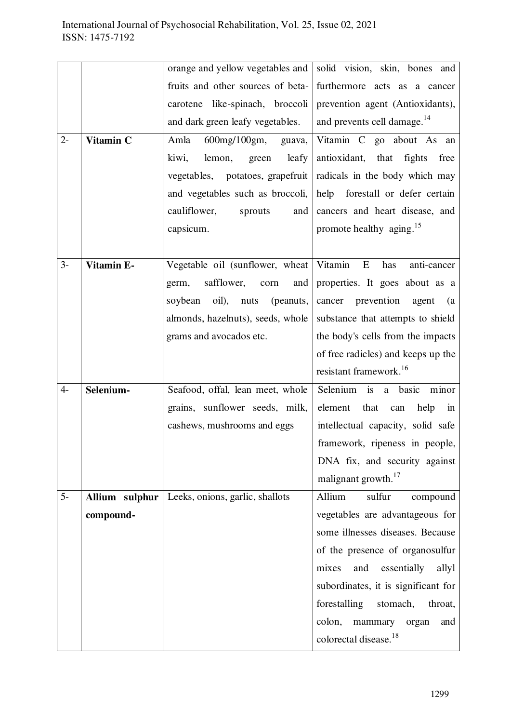|       |                | orange and yellow vegetables and      | solid vision, skin, bones and                     |  |  |  |
|-------|----------------|---------------------------------------|---------------------------------------------------|--|--|--|
|       |                | fruits and other sources of beta-     | furthermore acts as a cancer                      |  |  |  |
|       |                | like-spinach, broccoli<br>carotene    | prevention agent (Antioxidants),                  |  |  |  |
|       |                | and dark green leafy vegetables.      | and prevents cell damage. <sup>14</sup>           |  |  |  |
| $2 -$ | Vitamin C      | $600$ mg/ $100$ gm,<br>Amla<br>guava, | Vitamin C go about As an                          |  |  |  |
|       |                | kiwi,<br>leafy<br>lemon,<br>green     | antioxidant, that fights<br>free                  |  |  |  |
|       |                | vegetables, potatoes, grapefruit      | radicals in the body which may                    |  |  |  |
|       |                | and vegetables such as broccoli,      | help forestall or defer certain                   |  |  |  |
|       |                | cauliflower,<br>sprouts<br>and        | cancers and heart disease, and                    |  |  |  |
|       |                | capsicum.                             | promote healthy aging. <sup>15</sup>              |  |  |  |
|       |                |                                       |                                                   |  |  |  |
| $3-$  | Vitamin E-     | Vegetable oil (sunflower, wheat       | Vitamin<br>E<br>has<br>anti-cancer                |  |  |  |
|       |                | safflower,<br>and<br>germ,<br>corn    | properties. It goes about as a                    |  |  |  |
|       |                | oil),<br>(peanuts,<br>soybean<br>nuts | cancer prevention<br>agent<br>(a)                 |  |  |  |
|       |                | almonds, hazelnuts), seeds, whole     | substance that attempts to shield                 |  |  |  |
|       |                | grams and avocados etc.               | the body's cells from the impacts                 |  |  |  |
|       |                |                                       | of free radicles) and keeps up the                |  |  |  |
|       |                |                                       | resistant framework. <sup>16</sup>                |  |  |  |
| $4-$  | Selenium-      | Seafood, offal, lean meet, whole      | i <sub>S</sub><br>Selenium<br>basic<br>minor<br>a |  |  |  |
|       |                | grains, sunflower seeds, milk,        | element<br>that<br>help<br>can<br>in              |  |  |  |
|       |                | cashews, mushrooms and eggs           | intellectual capacity, solid safe                 |  |  |  |
|       |                |                                       | framework, ripeness in people,                    |  |  |  |
|       |                |                                       | DNA fix, and security against                     |  |  |  |
|       |                |                                       | malignant growth. <sup>17</sup>                   |  |  |  |
| $5-$  | Allium sulphur | Leeks, onions, garlic, shallots       | Allium<br>sulfur<br>compound                      |  |  |  |
|       | compound-      |                                       | vegetables are advantageous for                   |  |  |  |
|       |                |                                       | some illnesses diseases. Because                  |  |  |  |
|       |                |                                       | of the presence of organosulfur                   |  |  |  |
|       |                |                                       | essentially<br>mixes<br>and<br>allyl              |  |  |  |
|       |                |                                       | subordinates, it is significant for               |  |  |  |
|       |                |                                       | forestalling<br>stomach,<br>throat,               |  |  |  |
|       |                |                                       | colon,<br>mammary<br>organ<br>and                 |  |  |  |
|       |                |                                       | colorectal disease. <sup>18</sup>                 |  |  |  |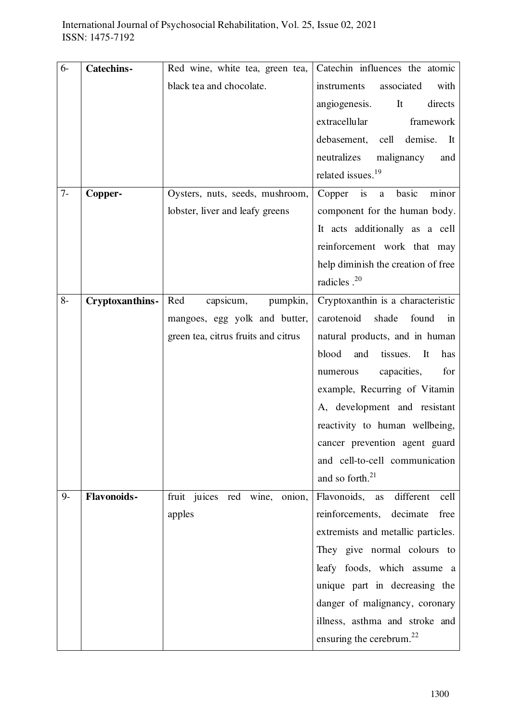| $6-$ | <b>Catechins-</b>  | Red wine, white tea, green tea,     | Catechin influences the atomic              |
|------|--------------------|-------------------------------------|---------------------------------------------|
|      |                    | black tea and chocolate.            | associated<br>instruments<br>with           |
|      |                    |                                     | angiogenesis.<br>It<br>directs              |
|      |                    |                                     | extracellular<br>framework                  |
|      |                    |                                     | debasement,<br>cell<br>demise.<br>It        |
|      |                    |                                     | neutralizes<br>malignancy<br>and            |
|      |                    |                                     | related issues. <sup>19</sup>               |
| $7-$ | Copper-            | Oysters, nuts, seeds, mushroom,     | Copper is<br>basic<br>$\mathbf{a}$<br>minor |
|      |                    | lobster, liver and leafy greens     | component for the human body.               |
|      |                    |                                     | It acts additionally as a cell              |
|      |                    |                                     | reinforcement work that may                 |
|      |                    |                                     | help diminish the creation of free          |
|      |                    |                                     | radicles . <sup>20</sup>                    |
| $8-$ | Cryptoxanthins-    | Red<br>capsicum,<br>pumpkin,        | Cryptoxanthin is a characteristic           |
|      |                    | mangoes, egg yolk and butter,       | carotenoid<br>shade<br>found<br>in          |
|      |                    | green tea, citrus fruits and citrus | natural products, and in human              |
|      |                    |                                     | blood<br>tissues.<br>It<br>and<br>has       |
|      |                    |                                     | capacities,<br>for<br>numerous              |
|      |                    |                                     | example, Recurring of Vitamin               |
|      |                    |                                     | A, development and resistant                |
|      |                    |                                     | reactivity to human wellbeing,              |
|      |                    |                                     | cancer prevention agent guard               |
|      |                    |                                     | and cell-to-cell communication              |
|      |                    |                                     | and so forth. <sup>21</sup>                 |
| $9-$ | <b>Flavonoids-</b> | fruit juices red wine,<br>onion,    | Flavonoids, as<br>different<br>cell         |
|      |                    | apples                              | reinforcements, decimate<br>free            |
|      |                    |                                     | extremists and metallic particles.          |
|      |                    |                                     | They give normal colours to                 |
|      |                    |                                     | leafy foods, which assume a                 |
|      |                    |                                     | unique part in decreasing the               |
|      |                    |                                     | danger of malignancy, coronary              |
|      |                    |                                     | illness, asthma and stroke and              |
|      |                    |                                     | ensuring the cerebrum. $^{22}$              |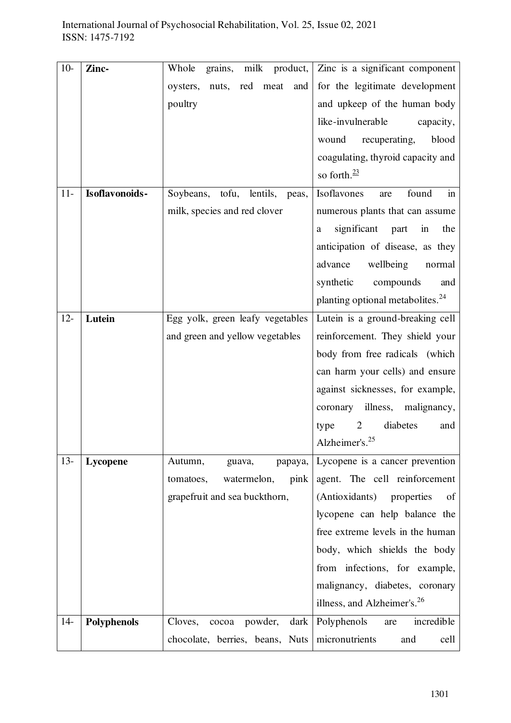| $10-$  | Zinc-          | Whole<br>grains, milk product,       | Zinc is a significant component              |
|--------|----------------|--------------------------------------|----------------------------------------------|
|        |                | nuts, red<br>meat<br>oysters,<br>and | for the legitimate development               |
|        |                | poultry                              | and upkeep of the human body                 |
|        |                |                                      | like-invulnerable<br>capacity,               |
|        |                |                                      | wound<br>recuperating,<br>blood              |
|        |                |                                      | coagulating, thyroid capacity and            |
|        |                |                                      | so forth. $\frac{23}{2}$                     |
| $11-$  | Isoflavonoids- | Soybeans, tofu, lentils,<br>peas,    | Isoflavones<br>found<br>in<br>are            |
|        |                | milk, species and red clover         | numerous plants that can assume              |
|        |                |                                      | significant part<br>in<br>the<br>a           |
|        |                |                                      | anticipation of disease, as they             |
|        |                |                                      | advance<br>wellbeing<br>normal               |
|        |                |                                      | synthetic<br>compounds<br>and                |
|        |                |                                      | planting optional metabolites. <sup>24</sup> |
| $12 -$ | Lutein         | Egg yolk, green leafy vegetables     | Lutein is a ground-breaking cell             |
|        |                | and green and yellow vegetables      | reinforcement. They shield your              |
|        |                |                                      | body from free radicals (which               |
|        |                |                                      | can harm your cells) and ensure              |
|        |                |                                      | against sicknesses, for example,             |
|        |                |                                      | illness, malignancy,<br>coronary             |
|        |                |                                      | diabetes<br>$\overline{2}$<br>type<br>and    |
|        |                |                                      | Alzheimer's. <sup>25</sup>                   |
| $13 -$ | Lycopene       | Autumn,<br>guava,<br>papaya,         | Lycopene is a cancer prevention              |
|        |                | watermelon,<br>pink<br>tomatoes,     | agent. The cell reinforcement                |
|        |                | grapefruit and sea buckthorn,        | (Antioxidants) properties<br>of              |
|        |                |                                      | lycopene can help balance the                |
|        |                |                                      | free extreme levels in the human             |
|        |                |                                      | body, which shields the body                 |
|        |                |                                      | from infections, for example,                |
|        |                |                                      | malignancy, diabetes, coronary               |
|        |                |                                      | illness, and Alzheimer's. <sup>26</sup>      |
| $14-$  | Polyphenols    | Cloves,<br>powder,<br>cocoa          | dark   Polyphenols<br>incredible<br>are      |
|        |                | chocolate, berries, beans, Nuts      | micronutrients<br>and<br>cell                |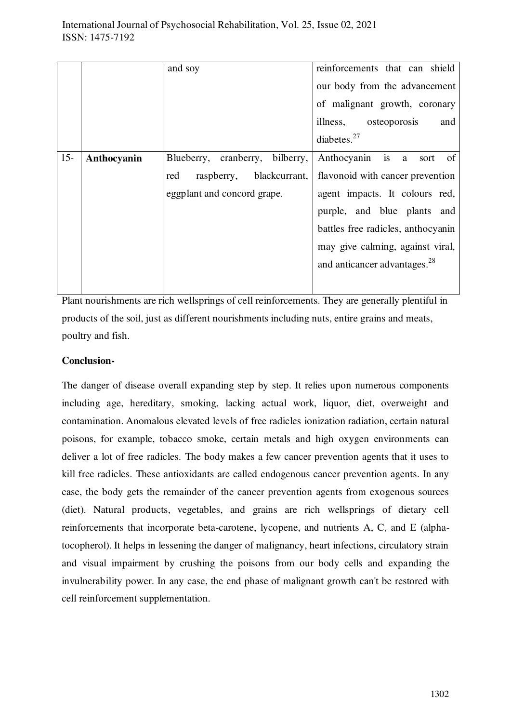|        |             | and soy                         | reinforcements that can shield           |
|--------|-------------|---------------------------------|------------------------------------------|
|        |             |                                 | our body from the advancement            |
|        |             |                                 | of malignant growth, coronary            |
|        |             |                                 | illness, osteoporosis<br>and             |
|        |             |                                 | diabetes. $27$                           |
| $15 -$ | Anthocyanin | Blueberry, cranberry, bilberry, | Anthocyanin is a<br>of<br>sort           |
|        |             | raspberry, blackcurrant,<br>red | flavonoid with cancer prevention         |
|        |             | eggplant and concord grape.     | agent impacts. It colours red,           |
|        |             |                                 | purple, and blue plants and              |
|        |             |                                 | battles free radicles, anthocyanin       |
|        |             |                                 | may give calming, against viral,         |
|        |             |                                 | and anticancer advantages. <sup>28</sup> |
|        |             |                                 |                                          |

Plant nourishments are rich wellsprings of cell reinforcements. They are generally plentiful in products of the soil, just as different nourishments including nuts, entire grains and meats, poultry and fish.

# **Conclusion-**

The danger of disease overall expanding step by step. It relies upon numerous components including age, hereditary, smoking, lacking actual work, liquor, diet, overweight and contamination. Anomalous elevated levels of free radicles ionization radiation, certain natural poisons, for example, tobacco smoke, certain metals and high oxygen environments can deliver a lot of free radicles. The body makes a few cancer prevention agents that it uses to kill free radicles. These antioxidants are called endogenous cancer prevention agents. In any case, the body gets the remainder of the cancer prevention agents from exogenous sources (diet). Natural products, vegetables, and grains are rich wellsprings of dietary cell reinforcements that incorporate beta-carotene, lycopene, and nutrients A, C, and E (alphatocopherol). It helps in lessening the danger of malignancy, heart infections, circulatory strain and visual impairment by crushing the poisons from our body cells and expanding the invulnerability power. In any case, the end phase of malignant growth can't be restored with cell reinforcement supplementation.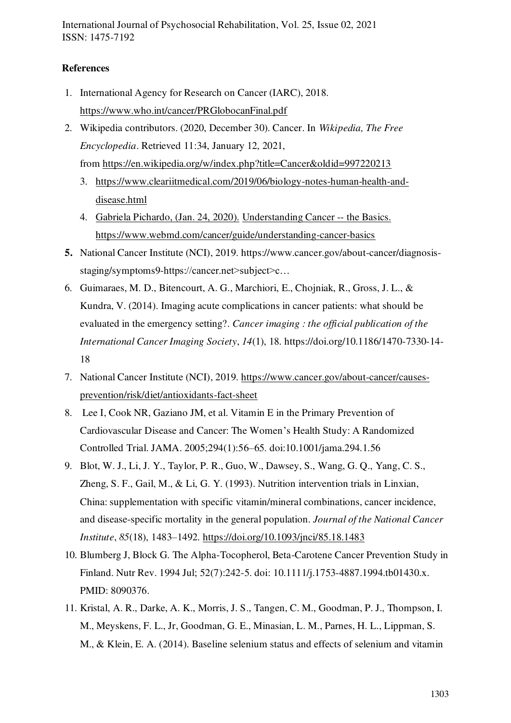International Journal of Psychosocial Rehabilitation, Vol. 25, Issue 02, 2021 ISSN: 1475-7192

# **References**

- 1. International Agency for Research on Cancer (IARC), 2018. <https://www.who.int/cancer/PRGlobocanFinal.pdf>
- 2. Wikipedia contributors. (2020, December 30). Cancer. In *Wikipedia, The Free Encyclopedia*. Retrieved 11:34, January 12, 2021, from<https://en.wikipedia.org/w/index.php?title=Cancer&oldid=997220213>
	- 3. [https://www.cleariitmedical.com/2019/06/biology-notes-human-health-and](https://www.cleariitmedical.com/2019/06/biology-notes-human-health-and-disease.html)[disease.html](https://www.cleariitmedical.com/2019/06/biology-notes-human-health-and-disease.html)
	- 4. Gabriela Pichardo, (Jan. 24, 2020). Understanding Cancer -- the Basics. https://www.webmd.com/cancer/guide/understanding-cancer-basics
- **5.** National Cancer Institute (NCI), 2019. https://www.cancer.gov/about-cancer/diagnosisstaging/symptoms9-https://cancer.net>subject>c…
- 6. Guimaraes, M. D., Bitencourt, A. G., Marchiori, E., Chojniak, R., Gross, J. L., & Kundra, V. (2014). Imaging acute complications in cancer patients: what should be evaluated in the emergency setting?. *Cancer imaging : the official publication of the International Cancer Imaging Society*, *14*(1), 18. https://doi.org/10.1186/1470-7330-14- 18
- 7. National Cancer Institute (NCI), 2019. [https://www.cancer.gov/about-cancer/causes](https://www.cancer.gov/about-cancer/causes-prevention/risk/diet/antioxidants-fact-sheet)[prevention/risk/diet/antioxidants-fact-sheet](https://www.cancer.gov/about-cancer/causes-prevention/risk/diet/antioxidants-fact-sheet)
- 8. Lee I, Cook NR, Gaziano JM, et al. Vitamin E in the Primary Prevention of Cardiovascular Disease and Cancer: The Women's Health Study: A Randomized Controlled Trial. JAMA. 2005;294(1):56–65. doi:10.1001/jama.294.1.56
- 9. Blot, W. J., Li, J. Y., Taylor, P. R., Guo, W., Dawsey, S., Wang, G. Q., Yang, C. S., Zheng, S. F., Gail, M., & Li, G. Y. (1993). Nutrition intervention trials in Linxian, China: supplementation with specific vitamin/mineral combinations, cancer incidence, and disease-specific mortality in the general population. *Journal of the National Cancer Institute*, *85*(18), 1483–1492.<https://doi.org/10.1093/jnci/85.18.1483>
- 10. Blumberg J, Block G. The Alpha-Tocopherol, Beta-Carotene Cancer Prevention Study in Finland. Nutr Rev. 1994 Jul; 52(7):242-5. doi: 10.1111/j.1753-4887.1994.tb01430.x. PMID: 8090376.
- 11. Kristal, A. R., Darke, A. K., Morris, J. S., Tangen, C. M., Goodman, P. J., Thompson, I. M., Meyskens, F. L., Jr, Goodman, G. E., Minasian, L. M., Parnes, H. L., Lippman, S. M., & Klein, E. A. (2014). Baseline selenium status and effects of selenium and vitamin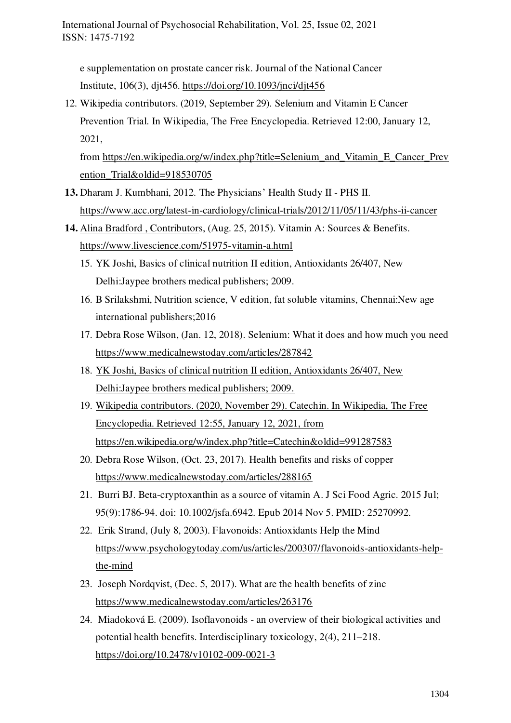e supplementation on prostate cancer risk. Journal of the National Cancer Institute, 106(3), djt456.<https://doi.org/10.1093/jnci/djt456>

12. Wikipedia contributors. (2019, September 29). Selenium and Vitamin E Cancer Prevention Trial. In Wikipedia, The Free Encyclopedia. Retrieved 12:00, January 12, 2021,

from [https://en.wikipedia.org/w/index.php?title=Selenium\\_and\\_Vitamin\\_E\\_Cancer\\_Prev](https://en.wikipedia.org/w/index.php?title=Selenium_and_Vitamin_E_Cancer_Prevention_Trial&oldid=918530705) ention\_Trial&oldid=918530705

- **13.** Dharam J. Kumbhani, 2012. The Physicians' Health Study II PHS II. <https://www.acc.org/latest-in-cardiology/clinical-trials/2012/11/05/11/43/phs-ii-cancer>
- **14.** Alina Bradford , Contributors, (Aug. 25, 2015). Vitamin A: Sources & Benefits. <https://www.livescience.com/51975-vitamin-a.html>
	- 15. YK Joshi, Basics of clinical nutrition II edition, Antioxidants 26/407, New Delhi:Jaypee brothers medical publishers; 2009.
	- 16. B Srilakshmi, Nutrition science, V edition, fat soluble vitamins, Chennai:New age international publishers;2016
	- 17. Debra Rose Wilson, (Jan. 12, 2018). Selenium: What it does and how much you need <https://www.medicalnewstoday.com/articles/287842>
	- 18. YK Joshi, Basics of clinical nutrition II edition, Antioxidants 26/407, New Delhi:Jaypee brothers medical publishers; 2009.
	- 19. Wikipedia contributors. (2020, November 29). Catechin. In Wikipedia, The Free Encyclopedia. Retrieved 12:55, January 12, 2021, from <https://en.wikipedia.org/w/index.php?title=Catechin&oldid=991287583>
	- 20. Debra Rose Wilson, (Oct. 23, 2017). Health benefits and risks of copper <https://www.medicalnewstoday.com/articles/288165>
	- 21. Burri BJ. Beta-cryptoxanthin as a source of vitamin A. J Sci Food Agric. 2015 Jul; 95(9):1786-94. doi: 10.1002/jsfa.6942. Epub 2014 Nov 5. PMID: 25270992.
	- 22. Erik Strand, (July 8, 2003). Flavonoids: Antioxidants Help the Mind [https://www.psychologytoday.com/us/articles/200307/flavonoids-antioxidants-help](https://www.psychologytoday.com/us/articles/200307/flavonoids-antioxidants-help-the-mind)[the-mind](https://www.psychologytoday.com/us/articles/200307/flavonoids-antioxidants-help-the-mind)
	- 23. Joseph Nordqvist, (Dec. 5, 2017). What are the health benefits of zinc <https://www.medicalnewstoday.com/articles/263176>
	- 24. Miadoková E. (2009). Isoflavonoids an overview of their biological activities and potential health benefits. Interdisciplinary toxicology, 2(4), 211–218. <https://doi.org/10.2478/v10102-009-0021-3>